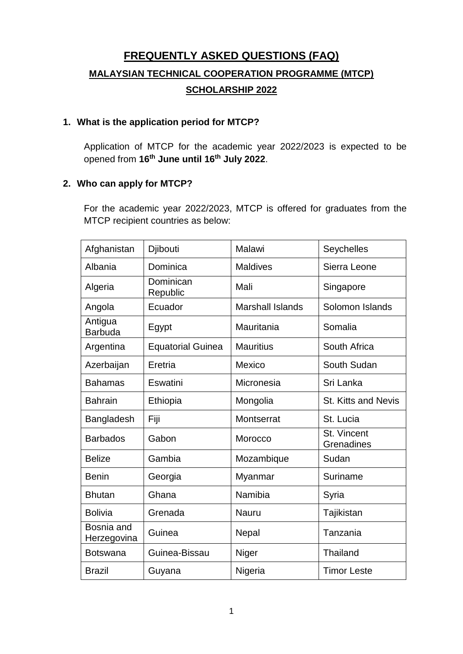# **FREQUENTLY ASKED QUESTIONS (FAQ) MALAYSIAN TECHNICAL COOPERATION PROGRAMME (MTCP) SCHOLARSHIP 2022**

### **1. What is the application period for MTCP?**

Application of MTCP for the academic year 2022/2023 is expected to be opened from **16th June until 16th July 2022**.

# **2. Who can apply for MTCP?**

For the academic year 2022/2023, MTCP is offered for graduates from the MTCP recipient countries as below:

| Afghanistan               | Djibouti                 | Malawi                  | Seychelles                 |
|---------------------------|--------------------------|-------------------------|----------------------------|
| Albania                   | Dominica                 | <b>Maldives</b>         | Sierra Leone               |
| Algeria                   | Dominican<br>Republic    | Mali                    | Singapore                  |
| Angola                    | Ecuador                  | <b>Marshall Islands</b> | Solomon Islands            |
| Antigua<br><b>Barbuda</b> | Egypt                    | Mauritania              | Somalia                    |
| Argentina                 | <b>Equatorial Guinea</b> | <b>Mauritius</b>        | South Africa               |
| Azerbaijan                | Eretria                  | Mexico                  | South Sudan                |
| <b>Bahamas</b>            | Eswatini                 | Micronesia              | Sri Lanka                  |
| <b>Bahrain</b>            | Ethiopia                 | Mongolia                | <b>St. Kitts and Nevis</b> |
| Bangladesh                | Fiji                     | Montserrat              | St. Lucia                  |
| <b>Barbados</b>           | Gabon                    | Morocco                 | St. Vincent<br>Grenadines  |
| <b>Belize</b>             | Gambia                   | Mozambique              | Sudan                      |
| <b>Benin</b>              | Georgia                  | Myanmar                 | Suriname                   |
| <b>Bhutan</b>             | Ghana                    | Namibia                 | Syria                      |
| <b>Bolivia</b>            | Grenada                  | <b>Nauru</b>            | Tajikistan                 |
| Bosnia and<br>Herzegovina | Guinea                   | Nepal                   | Tanzania                   |
| <b>Botswana</b>           | Guinea-Bissau            | Niger                   | Thailand                   |
| <b>Brazil</b>             | Guyana                   | Nigeria                 | <b>Timor Leste</b>         |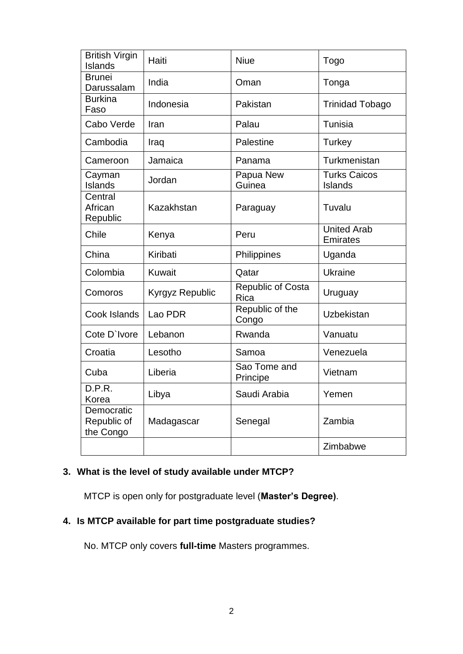| <b>British Virgin</b><br>Islands       | Haiti           | <b>Niue</b>                      | Togo                                  |
|----------------------------------------|-----------------|----------------------------------|---------------------------------------|
| <b>Brunei</b><br>Darussalam            | India           | Oman                             | Tonga                                 |
| <b>Burkina</b><br>Faso                 | Indonesia       | Pakistan                         | <b>Trinidad Tobago</b>                |
| Cabo Verde                             | Iran            | Palau                            | Tunisia                               |
| Cambodia                               | Iraq            | Palestine                        | <b>Turkey</b>                         |
| Cameroon                               | Jamaica         | Panama                           | Turkmenistan                          |
| Cayman<br>Islands                      | Jordan          | Papua New<br>Guinea              | <b>Turks Caicos</b><br>Islands        |
| Central<br>African<br>Republic         | Kazakhstan      | Paraguay                         | Tuvalu                                |
| Chile                                  | Kenya           | Peru                             | <b>United Arab</b><br><b>Emirates</b> |
| China                                  | Kiribati        | Philippines                      | Uganda                                |
| Colombia                               | <b>Kuwait</b>   | Qatar                            | <b>Ukraine</b>                        |
| Comoros                                | Kyrgyz Republic | <b>Republic of Costa</b><br>Rica | Uruguay                               |
| Cook Islands                           | Lao PDR         | Republic of the<br>Congo         | <b>Uzbekistan</b>                     |
| Cote D'Ivore                           | Lebanon         | Rwanda                           | Vanuatu                               |
| Croatia                                | Lesotho         | Samoa                            | Venezuela                             |
| Cuba                                   | Liberia         | Sao Tome and<br>Principe         | Vietnam                               |
| D.P.R.<br>Korea                        | Libya           | Saudi Arabia                     | Yemen                                 |
| Democratic<br>Republic of<br>the Congo | Madagascar      | Senegal                          | Zambia                                |
|                                        |                 |                                  | Zimbabwe                              |

# **3. What is the level of study available under MTCP?**

MTCP is open only for postgraduate level (**Master's Degree)**.

# **4. Is MTCP available for part time postgraduate studies?**

No. MTCP only covers **full-time** Masters programmes.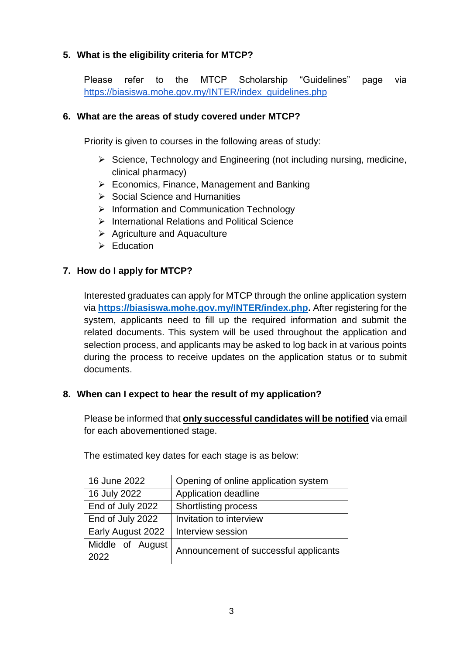# **5. What is the eligibility criteria for MTCP?**

Please refer to the MTCP Scholarship "Guidelines" page via https://biasiswa.mohe.gov.my/INTER/index\_guidelines.php

### **6. What are the areas of study covered under MTCP?**

Priority is given to courses in the following areas of study:

- $\triangleright$  Science, Technology and Engineering (not including nursing, medicine, clinical pharmacy)
- $\triangleright$  Economics, Finance, Management and Banking
- $\triangleright$  Social Science and Humanities
- $\triangleright$  Information and Communication Technology
- $\triangleright$  International Relations and Political Science
- $\triangleright$  Agriculture and Aquaculture
- $\triangleright$  Education

# **7. How do I apply for MTCP?**

Interested graduates can apply for MTCP through the online application system via **[https://biasiswa.mohe.gov.my/INTER/index.php.](https://biasiswa.mohe.gov.my/INTER/index.php)** After registering for the system, applicants need to fill up the required information and submit the related documents. This system will be used throughout the application and selection process, and applicants may be asked to log back in at various points during the process to receive updates on the application status or to submit documents.

# **8. When can I expect to hear the result of my application?**

Please be informed that **only successful candidates will be notified** via email for each abovementioned stage.

| 16 June 2022             | Opening of online application system  |  |
|--------------------------|---------------------------------------|--|
| 16 July 2022             | Application deadline                  |  |
| End of July 2022         | <b>Shortlisting process</b>           |  |
| End of July 2022         | Invitation to interview               |  |
| Early August 2022        | Interview session                     |  |
| Middle of August<br>2022 | Announcement of successful applicants |  |

The estimated key dates for each stage is as below: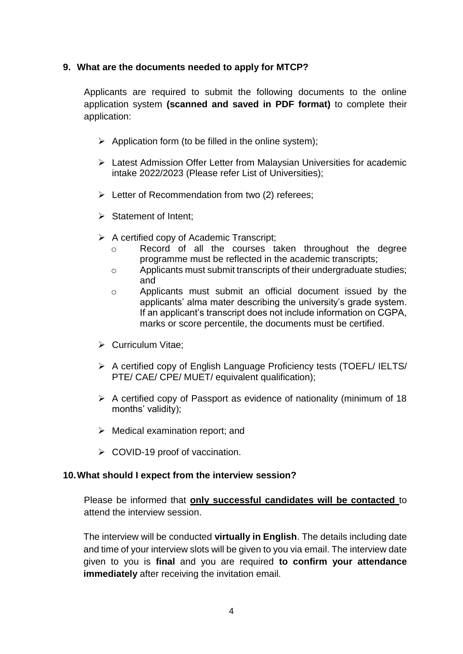# **9. What are the documents needed to apply for MTCP?**

Applicants are required to submit the following documents to the online application system **(scanned and saved in PDF format)** to complete their application:

- $\triangleright$  Application form (to be filled in the online system);
- Latest Admission Offer Letter from Malaysian Universities for academic intake 2022/2023 (Please refer List of Universities);
- $\triangleright$  Letter of Recommendation from two (2) referees;
- $\triangleright$  Statement of Intent;
- $\triangleright$  A certified copy of Academic Transcript;
	- o Record of all the courses taken throughout the degree programme must be reflected in the academic transcripts;
	- o Applicants must submit transcripts of their undergraduate studies; and
	- o Applicants must submit an official document issued by the applicants' alma mater describing the university's grade system. If an applicant's transcript does not include information on CGPA, marks or score percentile, the documents must be certified.
- $\triangleright$  Curriculum Vitae:
- $\triangleright$  A certified copy of English Language Proficiency tests (TOEFL/ IELTS/ PTE/ CAE/ CPE/ MUET/ equivalent qualification);
- $\triangleright$  A certified copy of Passport as evidence of nationality (minimum of 18 months' validity);
- $\triangleright$  Medical examination report; and
- $\triangleright$  COVID-19 proof of vaccination.

# **10.What should I expect from the interview session?**

Please be informed that **only successful candidates will be contacted** to attend the interview session.

The interview will be conducted **virtually in English**. The details including date and time of your interview slots will be given to you via email. The interview date given to you is **final** and you are required **to confirm your attendance immediately** after receiving the invitation email.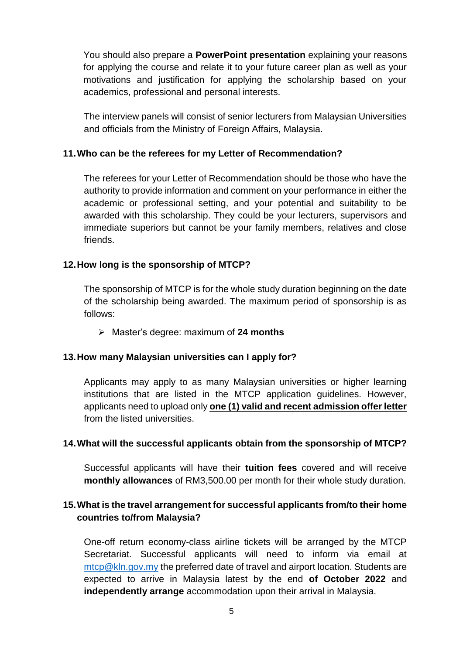You should also prepare a **PowerPoint presentation** explaining your reasons for applying the course and relate it to your future career plan as well as your motivations and justification for applying the scholarship based on your academics, professional and personal interests.

The interview panels will consist of senior lecturers from Malaysian Universities and officials from the Ministry of Foreign Affairs, Malaysia.

### **11.Who can be the referees for my Letter of Recommendation?**

The referees for your Letter of Recommendation should be those who have the authority to provide information and comment on your performance in either the academic or professional setting, and your potential and suitability to be awarded with this scholarship. They could be your lecturers, supervisors and immediate superiors but cannot be your family members, relatives and close friends.

### **12.How long is the sponsorship of MTCP?**

The sponsorship of MTCP is for the whole study duration beginning on the date of the scholarship being awarded. The maximum period of sponsorship is as follows:

Master's degree: maximum of **24 months**

#### **13.How many Malaysian universities can I apply for?**

Applicants may apply to as many Malaysian universities or higher learning institutions that are listed in the MTCP application guidelines. However, applicants need to upload only **one (1) valid and recent admission offer letter** from the listed universities.

#### **14.What will the successful applicants obtain from the sponsorship of MTCP?**

Successful applicants will have their **tuition fees** covered and will receive **monthly allowances** of RM3,500.00 per month for their whole study duration.

### **15.What is the travel arrangement for successful applicants from/to their home countries to/from Malaysia?**

One-off return economy-class airline tickets will be arranged by the MTCP Secretariat. Successful applicants will need to inform via email at [mtcp@kln.gov.my](mailto:mtcp@kln.gov.my) the preferred date of travel and airport location. Students are expected to arrive in Malaysia latest by the end **of October 2022** and **independently arrange** accommodation upon their arrival in Malaysia.